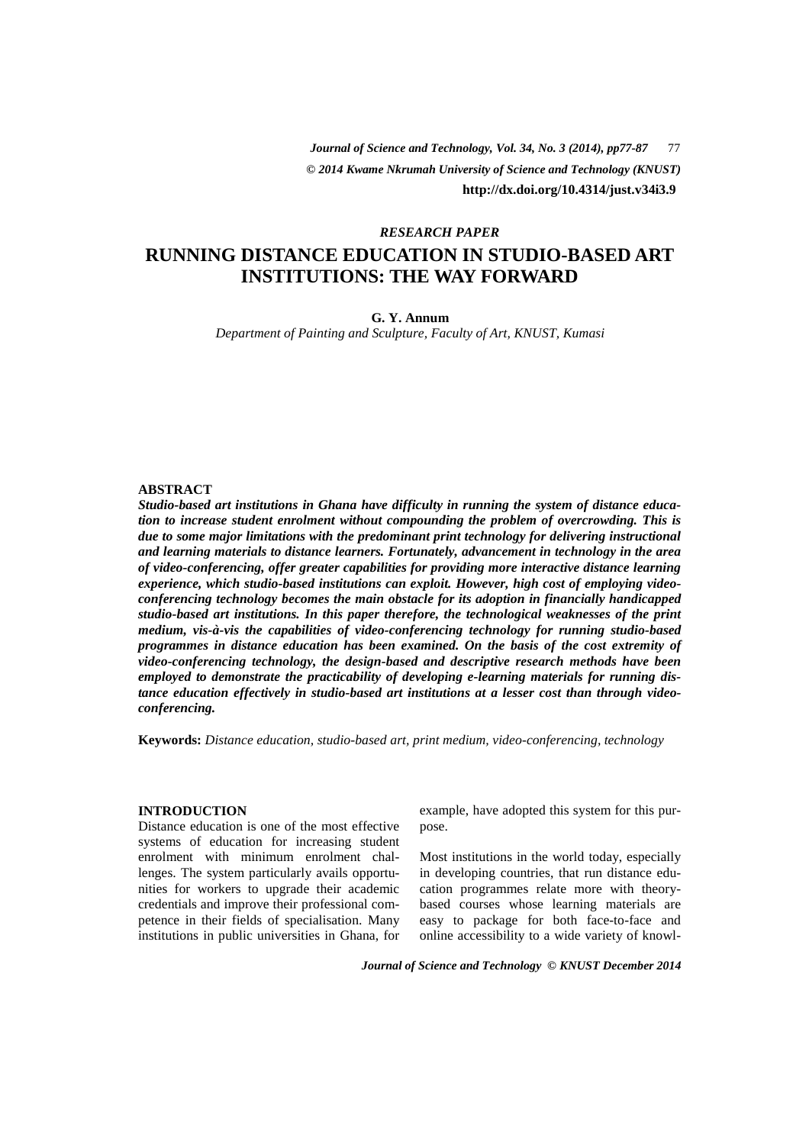*© 2014 Kwame Nkrumah University of Science and Technology (KNUST) Journal of Science and Technology, Vol. 34, No. 3 (2014), pp77-87* 77 **http://dx.doi.org/10.4314/just.v34i3.9** 

# *RESEARCH PAPER*

# **RUNNING DISTANCE EDUCATION IN STUDIO-BASED ART INSTITUTIONS: THE WAY FORWARD**

**G. Y. Annum**

*Department of Painting and Sculpture, Faculty of Art, KNUST, Kumasi*

# **ABSTRACT**

*Studio-based art institutions in Ghana have difficulty in running the system of distance education to increase student enrolment without compounding the problem of overcrowding. This is due to some major limitations with the predominant print technology for delivering instructional and learning materials to distance learners. Fortunately, advancement in technology in the area of video-conferencing, offer greater capabilities for providing more interactive distance learning experience, which studio-based institutions can exploit. However, high cost of employing videoconferencing technology becomes the main obstacle for its adoption in financially handicapped studio-based art institutions. In this paper therefore, the technological weaknesses of the print medium, vis-à-vis the capabilities of video-conferencing technology for running studio-based programmes in distance education has been examined. On the basis of the cost extremity of video-conferencing technology, the design-based and descriptive research methods have been employed to demonstrate the practicability of developing e-learning materials for running distance education effectively in studio-based art institutions at a lesser cost than through videoconferencing.* 

**Keywords:** *Distance education, studio-based art, print medium, video-conferencing, technology*

# **INTRODUCTION**

Distance education is one of the most effective systems of education for increasing student enrolment with minimum enrolment challenges. The system particularly avails opportunities for workers to upgrade their academic credentials and improve their professional competence in their fields of specialisation. Many institutions in public universities in Ghana, for

example, have adopted this system for this purpose.

Most institutions in the world today, especially in developing countries, that run distance education programmes relate more with theorybased courses whose learning materials are easy to package for both face-to-face and online accessibility to a wide variety of knowl-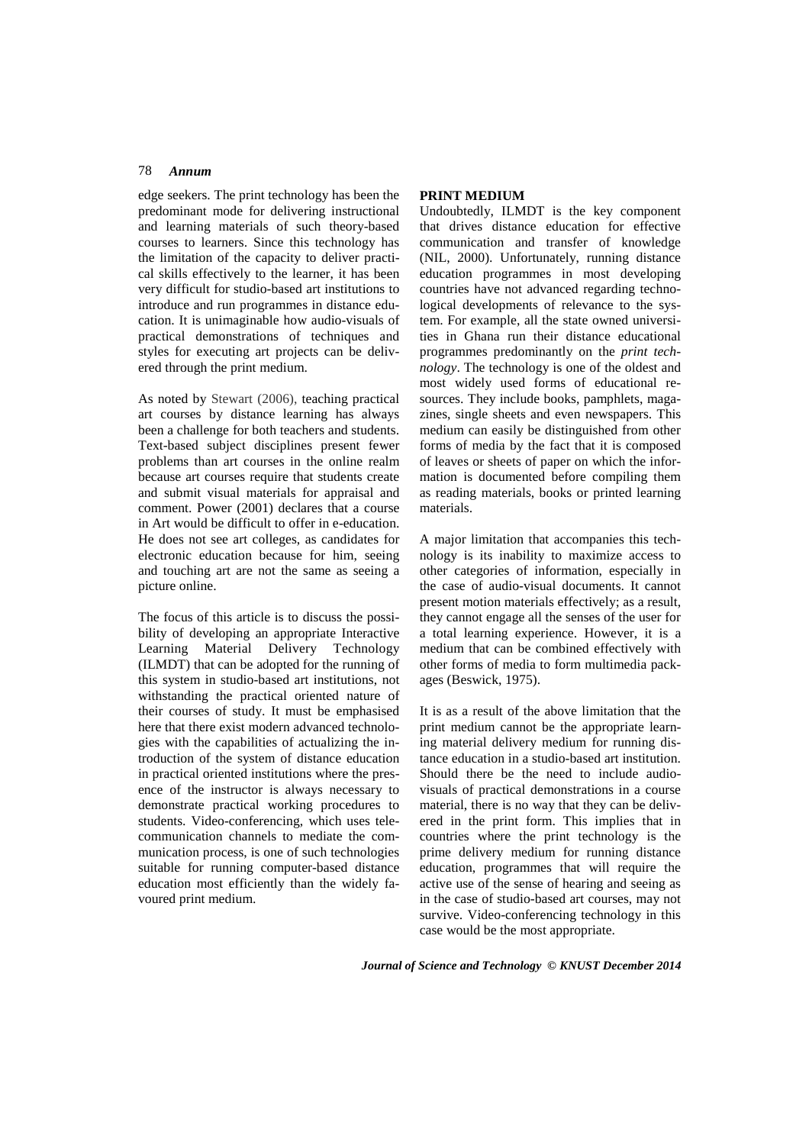edge seekers. The print technology has been the predominant mode for delivering instructional and learning materials of such theory-based courses to learners. Since this technology has the limitation of the capacity to deliver practical skills effectively to the learner, it has been very difficult for studio-based art institutions to introduce and run programmes in distance education. It is unimaginable how audio-visuals of practical demonstrations of techniques and styles for executing art projects can be delivered through the print medium.

As noted by Stewart (2006), teaching practical art courses by distance learning has always been a challenge for both teachers and students. Text-based subject disciplines present fewer problems than art courses in the online realm because art courses require that students create and submit visual materials for appraisal and comment. Power (2001) declares that a course in Art would be difficult to offer in e-education. He does not see art colleges, as candidates for electronic education because for him, seeing and touching art are not the same as seeing a picture online.

The focus of this article is to discuss the possibility of developing an appropriate Interactive Learning Material Delivery Technology (ILMDT) that can be adopted for the running of this system in studio-based art institutions, not withstanding the practical oriented nature of their courses of study. It must be emphasised here that there exist modern advanced technologies with the capabilities of actualizing the introduction of the system of distance education in practical oriented institutions where the presence of the instructor is always necessary to demonstrate practical working procedures to students. Video-conferencing, which uses telecommunication channels to mediate the communication process, is one of such technologies suitable for running computer-based distance education most efficiently than the widely favoured print medium.

#### **PRINT MEDIUM**

Undoubtedly, ILMDT is the key component that drives distance education for effective communication and transfer of knowledge (NIL, 2000). Unfortunately, running distance education programmes in most developing countries have not advanced regarding technological developments of relevance to the system. For example, all the state owned universities in Ghana run their distance educational programmes predominantly on the *print technology*. The technology is one of the oldest and most widely used forms of educational resources. They include books, pamphlets, magazines, single sheets and even newspapers. This medium can easily be distinguished from other forms of media by the fact that it is composed of leaves or sheets of paper on which the information is documented before compiling them as reading materials, books or printed learning materials.

A major limitation that accompanies this technology is its inability to maximize access to other categories of information, especially in the case of audio-visual documents. It cannot present motion materials effectively; as a result, they cannot engage all the senses of the user for a total learning experience. However, it is a medium that can be combined effectively with other forms of media to form multimedia packages (Beswick, 1975).

It is as a result of the above limitation that the print medium cannot be the appropriate learning material delivery medium for running distance education in a studio-based art institution. Should there be the need to include audiovisuals of practical demonstrations in a course material, there is no way that they can be delivered in the print form. This implies that in countries where the print technology is the prime delivery medium for running distance education, programmes that will require the active use of the sense of hearing and seeing as in the case of studio-based art courses, may not survive. Video-conferencing technology in this case would be the most appropriate.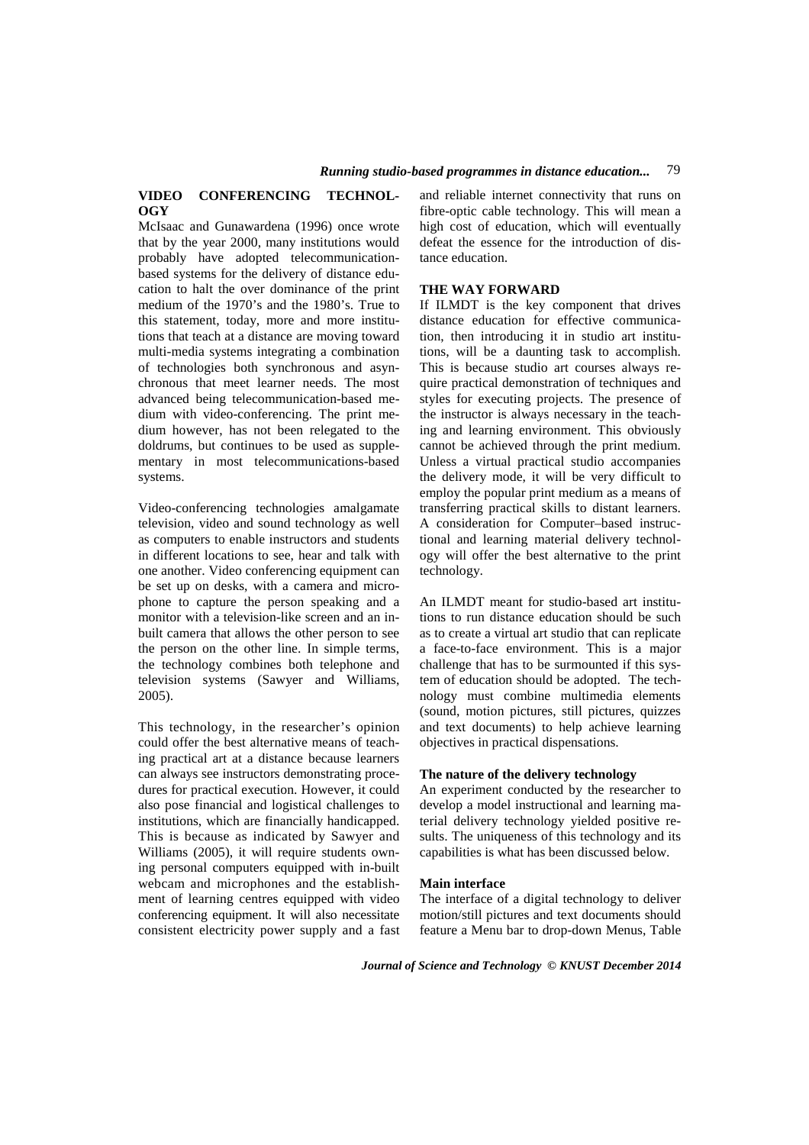## **VIDEO CONFERENCING TECHNOL-OGY**

McIsaac and Gunawardena (1996) once wrote that by the year 2000, many institutions would probably have adopted telecommunicationbased systems for the delivery of distance education to halt the over dominance of the print medium of the 1970's and the 1980's. True to this statement, today, more and more institutions that teach at a distance are moving toward multi-media systems integrating a combination of technologies both synchronous and asynchronous that meet learner needs. The most advanced being telecommunication-based medium with video-conferencing. The print medium however, has not been relegated to the doldrums, but continues to be used as supplementary in most telecommunications-based systems.

Video-conferencing technologies amalgamate television, video and sound technology as well as computers to enable instructors and students in different locations to see, hear and talk with one another. Video conferencing equipment can be set up on desks, with a camera and microphone to capture the person speaking and a monitor with a television-like screen and an inbuilt camera that allows the other person to see the person on the other line. In simple terms, the technology combines both telephone and television systems (Sawyer and Williams, 2005).

This technology, in the researcher's opinion could offer the best alternative means of teaching practical art at a distance because learners can always see instructors demonstrating procedures for practical execution. However, it could also pose financial and logistical challenges to institutions, which are financially handicapped. This is because as indicated by Sawyer and Williams (2005), it will require students owning personal computers equipped with in-built webcam and microphones and the establishment of learning centres equipped with video conferencing equipment. It will also necessitate consistent electricity power supply and a fast

and reliable internet connectivity that runs on fibre-optic cable technology. This will mean a high cost of education, which will eventually defeat the essence for the introduction of distance education.

# **THE WAY FORWARD**

If ILMDT is the key component that drives distance education for effective communication, then introducing it in studio art institutions, will be a daunting task to accomplish. This is because studio art courses always require practical demonstration of techniques and styles for executing projects. The presence of the instructor is always necessary in the teaching and learning environment. This obviously cannot be achieved through the print medium. Unless a virtual practical studio accompanies the delivery mode, it will be very difficult to employ the popular print medium as a means of transferring practical skills to distant learners. A consideration for Computer–based instructional and learning material delivery technology will offer the best alternative to the print technology.

An ILMDT meant for studio-based art institutions to run distance education should be such as to create a virtual art studio that can replicate a face-to-face environment. This is a major challenge that has to be surmounted if this system of education should be adopted. The technology must combine multimedia elements (sound, motion pictures, still pictures, quizzes and text documents) to help achieve learning objectives in practical dispensations.

#### **The nature of the delivery technology**

An experiment conducted by the researcher to develop a model instructional and learning material delivery technology yielded positive results. The uniqueness of this technology and its capabilities is what has been discussed below.

### **Main interface**

The interface of a digital technology to deliver motion/still pictures and text documents should feature a Menu bar to drop-down Menus, Table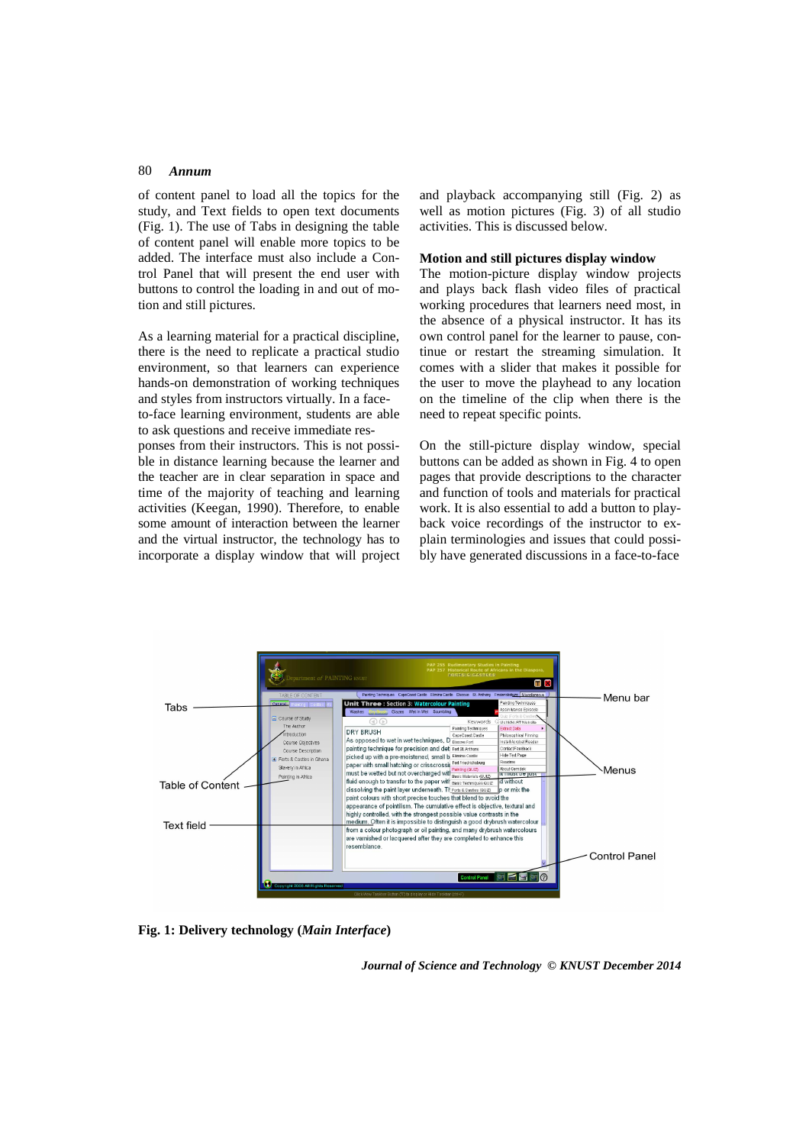of content panel to load all the topics for the study, and Text fields to open text documents (Fig. 1). The use of Tabs in designing the table of content panel will enable more topics to be added. The interface must also include a Control Panel that will present the end user with buttons to control the loading in and out of motion and still pictures.

As a learning material for a practical discipline, there is the need to replicate a practical studio environment, so that learners can experience hands-on demonstration of working techniques and styles from instructors virtually. In a face-

to-face learning environment, students are able to ask questions and receive immediate res-

ponses from their instructors. This is not possible in distance learning because the learner and the teacher are in clear separation in space and time of the majority of teaching and learning activities (Keegan, 1990). Therefore, to enable some amount of interaction between the learner and the virtual instructor, the technology has to incorporate a display window that will project and playback accompanying still (Fig. 2) as well as motion pictures (Fig. 3) of all studio activities. This is discussed below.

#### **Motion and still pictures display window**

The motion-picture display window projects and plays back flash video files of practical working procedures that learners need most, in the absence of a physical instructor. It has its own control panel for the learner to pause, continue or restart the streaming simulation. It comes with a slider that makes it possible for the user to move the playhead to any location on the timeline of the clip when there is the need to repeat specific points.

On the still-picture display window, special buttons can be added as shown in Fig. 4 to open pages that provide descriptions to the character and function of tools and materials for practical work. It is also essential to add a button to playback voice recordings of the instructor to explain terminologies and issues that could possibly have generated discussions in a face-to-face



**Fig. 1: Delivery technology (***Main Interface***)**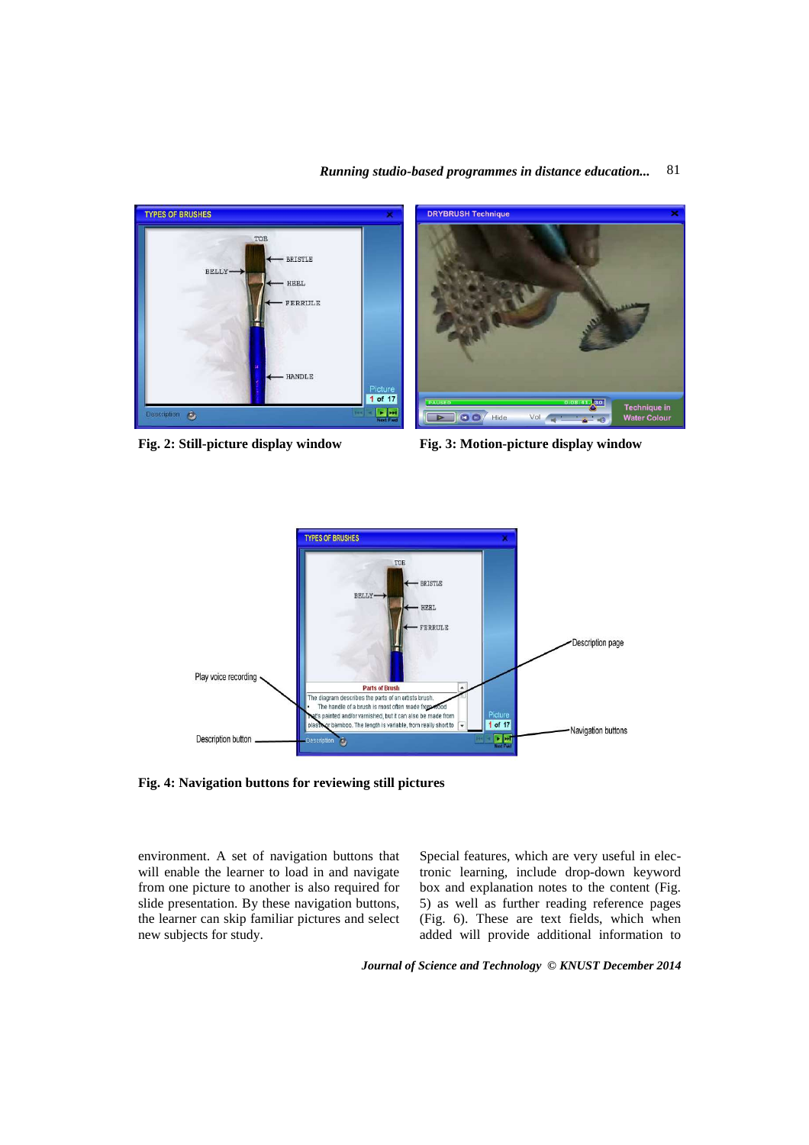



**Fig. 2: Still-picture display window Fig. 3: Motion-picture display window**



**Fig. 4: Navigation buttons for reviewing still pictures** 

environment. A set of navigation buttons that will enable the learner to load in and navigate from one picture to another is also required for slide presentation. By these navigation buttons, the learner can skip familiar pictures and select new subjects for study.

Special features, which are very useful in electronic learning, include drop-down keyword box and explanation notes to the content (Fig. 5) as well as further reading reference pages (Fig. 6). These are text fields, which when added will provide additional information to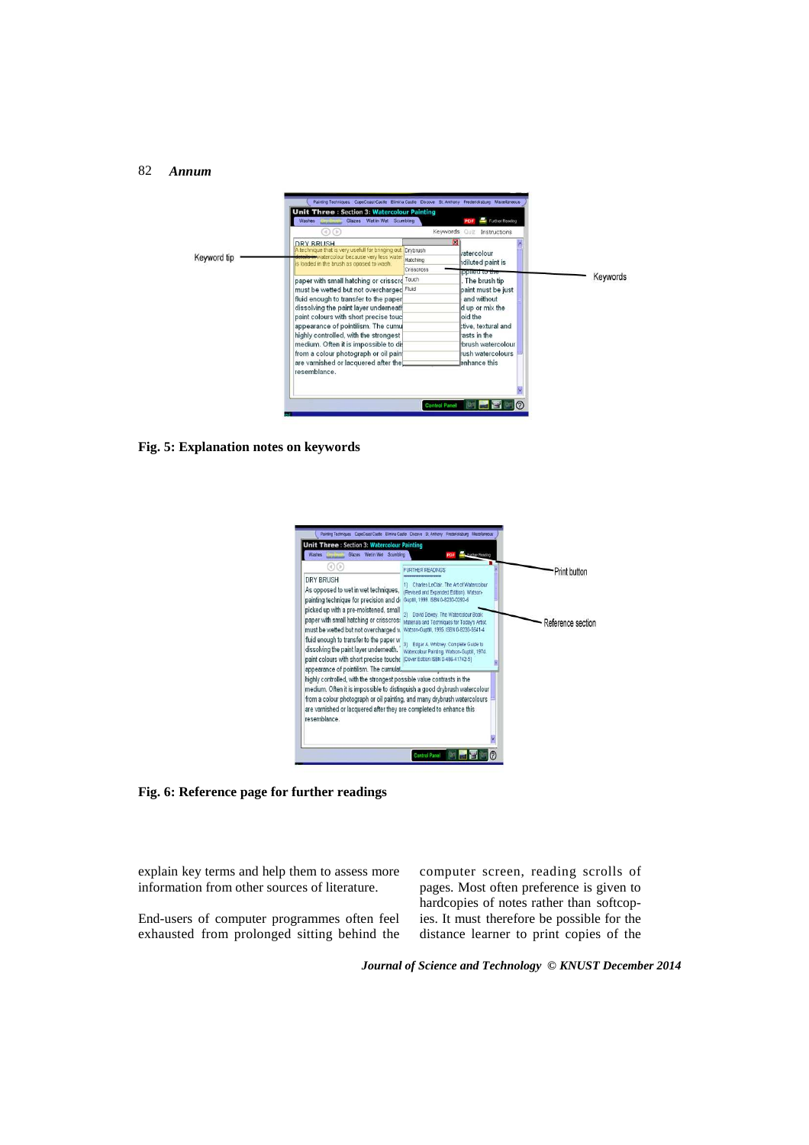|             | <b>DRY BRUSH</b>                                                                                                                                   |                           |                          |          |
|-------------|----------------------------------------------------------------------------------------------------------------------------------------------------|---------------------------|--------------------------|----------|
|             | A technique that is very usefull for bringing out Drybrush<br>the watercolour because very less water<br>is loaded in the brush as oposed to wash. | $\boldsymbol{\mathsf{x}}$ |                          |          |
| Keyword tip |                                                                                                                                                    |                           | vatercolour              |          |
|             |                                                                                                                                                    | Hatching                  | <b>hdiluted</b> paint is |          |
|             |                                                                                                                                                    | <b>Crisscross</b>         | pplied to the            |          |
|             | paper with small hatching or crisscro Touch<br>must be wetted but not overcharged Fluid                                                            |                           | The brush tip            | Keywords |
|             |                                                                                                                                                    |                           | paint must be just       |          |
|             | fluid enough to transfer to the paper                                                                                                              |                           | and without              |          |
|             | dissolving the paint layer underneath                                                                                                              |                           | d up or mix the          |          |
|             | paint colours with short precise toud                                                                                                              |                           | oid the                  |          |
|             | appearance of pointilism. The cumu                                                                                                                 |                           | tive, textural and       |          |
|             | highly controlled, with the strongest                                                                                                              |                           | asts in the              |          |
|             | medium. Often it is impossible to dif                                                                                                              |                           | brush watercolour        |          |
|             | from a colour photograph or oil pain                                                                                                               |                           | rush watercolours        |          |
|             | are varnished or lacquered after the                                                                                                               |                           | enhance this             |          |
|             | resemblance.                                                                                                                                       |                           |                          |          |

**Fig. 5: Explanation notes on keywords** 



#### **Fig. 6: Reference page for further readings**

explain key terms and help them to assess more information from other sources of literature.

End-users of computer programmes often feel exhausted from prolonged sitting behind the computer screen, reading scrolls of pages. Most often preference is given to hardcopies of notes rather than softcopies. It must therefore be possible for the distance learner to print copies of the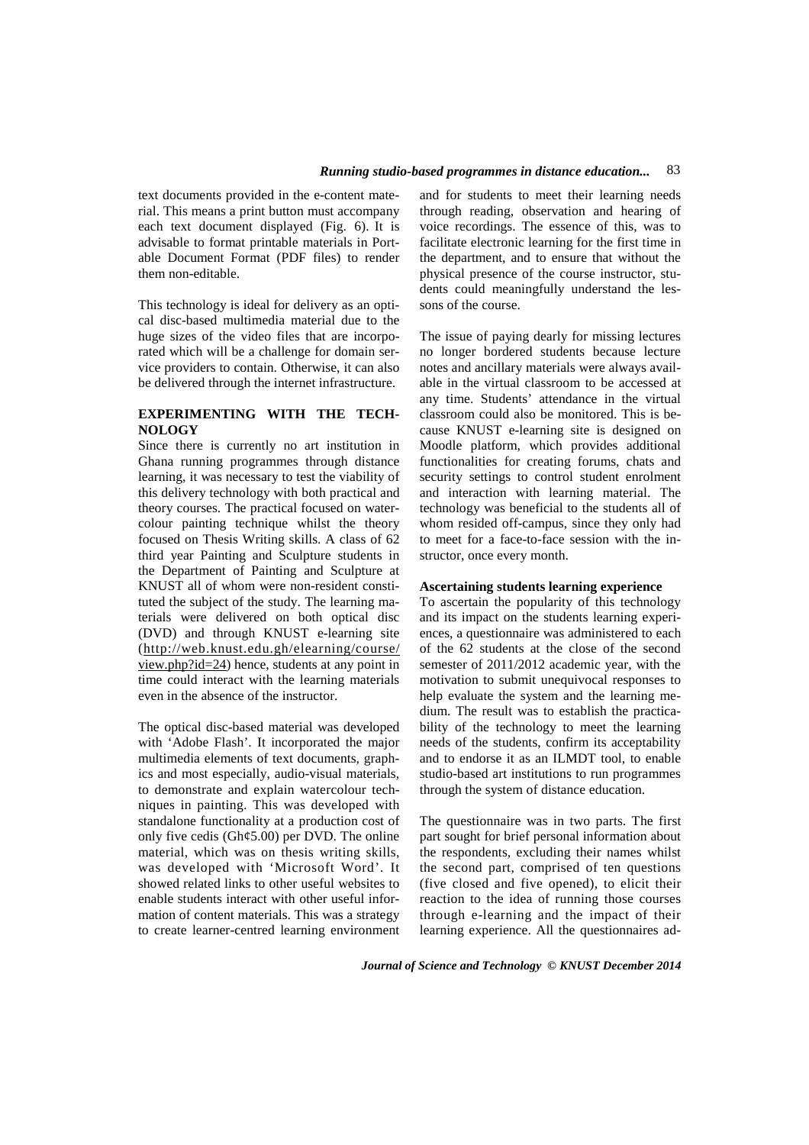text documents provided in the e-content material. This means a print button must accompany each text document displayed (Fig. 6). It is advisable to format printable materials in Portable Document Format (PDF files) to render them non-editable.

This technology is ideal for delivery as an optical disc-based multimedia material due to the huge sizes of the video files that are incorporated which will be a challenge for domain service providers to contain. Otherwise, it can also be delivered through the internet infrastructure.

# **EXPERIMENTING WITH THE TECH-NOLOGY**

Since there is currently no art institution in Ghana running programmes through distance learning, it was necessary to test the viability of this delivery technology with both practical and theory courses. The practical focused on watercolour painting technique whilst the theory focused on Thesis Writing skills. A class of 62 third year Painting and Sculpture students in the Department of Painting and Sculpture at KNUST all of whom were non-resident constituted the subject of the study. The learning materials were delivered on both optical disc (DVD) and through KNUST e-learning site (http://web.knust.edu.gh/elearning/course/ view.php?id=24) hence, students at any point in time could interact with the learning materials even in the absence of the instructor.

The optical disc-based material was developed with 'Adobe Flash'. It incorporated the major multimedia elements of text documents, graphics and most especially, audio-visual materials, to demonstrate and explain watercolour techniques in painting. This was developed with standalone functionality at a production cost of only five cedis (Gh¢5.00) per DVD. The online material, which was on thesis writing skills, was developed with 'Microsoft Word'. It showed related links to other useful websites to enable students interact with other useful information of content materials. This was a strategy to create learner-centred learning environment

and for students to meet their learning needs through reading, observation and hearing of voice recordings. The essence of this, was to facilitate electronic learning for the first time in the department, and to ensure that without the physical presence of the course instructor, students could meaningfully understand the lessons of the course.

The issue of paying dearly for missing lectures no longer bordered students because lecture notes and ancillary materials were always available in the virtual classroom to be accessed at any time. Students' attendance in the virtual classroom could also be monitored. This is because KNUST e-learning site is designed on Moodle platform, which provides additional functionalities for creating forums, chats and security settings to control student enrolment and interaction with learning material. The technology was beneficial to the students all of whom resided off-campus, since they only had to meet for a face-to-face session with the instructor, once every month.

## **Ascertaining students learning experience**

To ascertain the popularity of this technology and its impact on the students learning experiences, a questionnaire was administered to each of the 62 students at the close of the second semester of 2011/2012 academic year, with the motivation to submit unequivocal responses to help evaluate the system and the learning medium. The result was to establish the practicability of the technology to meet the learning needs of the students, confirm its acceptability and to endorse it as an ILMDT tool, to enable studio-based art institutions to run programmes through the system of distance education.

The questionnaire was in two parts. The first part sought for brief personal information about the respondents, excluding their names whilst the second part, comprised of ten questions (five closed and five opened), to elicit their reaction to the idea of running those courses through e-learning and the impact of their learning experience. All the questionnaires ad-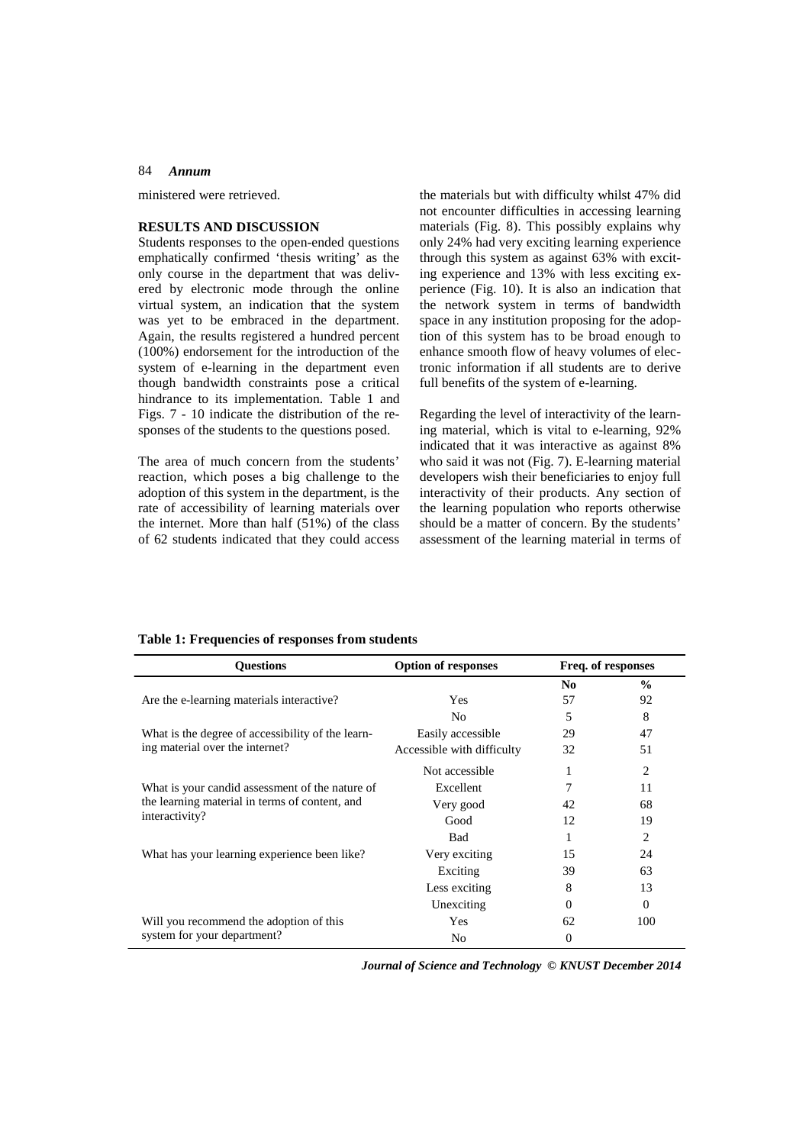ministered were retrieved.

#### **RESULTS AND DISCUSSION**

Students responses to the open-ended questions emphatically confirmed 'thesis writing' as the only course in the department that was delivered by electronic mode through the online virtual system, an indication that the system was yet to be embraced in the department. Again, the results registered a hundred percent (100%) endorsement for the introduction of the system of e-learning in the department even though bandwidth constraints pose a critical hindrance to its implementation. Table 1 and Figs. 7 - 10 indicate the distribution of the responses of the students to the questions posed.

The area of much concern from the students' reaction, which poses a big challenge to the adoption of this system in the department, is the rate of accessibility of learning materials over the internet. More than half (51%) of the class of 62 students indicated that they could access

the materials but with difficulty whilst 47% did not encounter difficulties in accessing learning materials (Fig. 8). This possibly explains why only 24% had very exciting learning experience through this system as against 63% with exciting experience and 13% with less exciting experience (Fig. 10). It is also an indication that the network system in terms of bandwidth space in any institution proposing for the adoption of this system has to be broad enough to enhance smooth flow of heavy volumes of electronic information if all students are to derive full benefits of the system of e-learning.

Regarding the level of interactivity of the learning material, which is vital to e-learning, 92% indicated that it was interactive as against 8% who said it was not (Fig. 7). E-learning material developers wish their beneficiaries to enjoy full interactivity of their products. Any section of the learning population who reports otherwise should be a matter of concern. By the students' assessment of the learning material in terms of

| <b>Ouestions</b>                                  | <b>Option of responses</b> | Freq. of responses |                |
|---------------------------------------------------|----------------------------|--------------------|----------------|
|                                                   |                            | N <sub>0</sub>     | $\frac{0}{0}$  |
| Are the e-learning materials interactive?         | <b>Yes</b>                 | 57                 | 92             |
|                                                   | No.                        | 5                  | 8              |
| What is the degree of accessibility of the learn- | Easily accessible          | 29                 | 47             |
| ing material over the internet?                   | Accessible with difficulty | 32                 | 51             |
|                                                   | Not accessible             | 1                  | 2              |
| What is your candid assessment of the nature of   | Excellent                  |                    | 11             |
| the learning material in terms of content, and    | Very good                  | 42                 | 68             |
| interactivity?                                    | Good                       | 12                 | 19             |
|                                                   | <b>Bad</b>                 |                    | $\overline{c}$ |
| What has your learning experience been like?      | Very exciting              | 15                 | 24             |
|                                                   | Exciting                   | 39                 | 63             |
|                                                   | Less exciting              | 8                  | 13             |
|                                                   | Unexciting                 | $\Omega$           | $\Omega$       |
| Will you recommend the adoption of this           | Yes                        | 62                 | 100            |
| system for your department?                       | N <sub>0</sub>             | $\theta$           |                |

#### **Table 1: Frequencies of responses from students**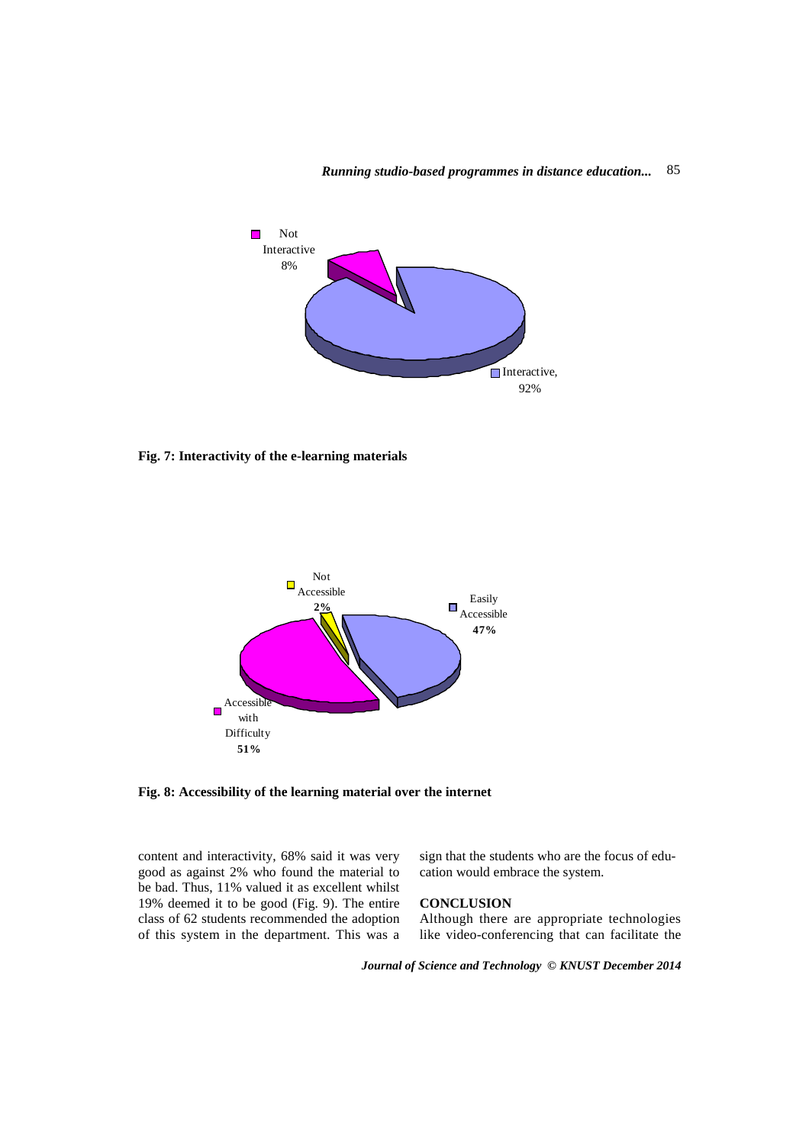

# *Running studio-based programmes in distance education...* 85

**Fig. 7: Interactivity of the e-learning materials** 



**Fig. 8: Accessibility of the learning material over the internet** 

content and interactivity, 68% said it was very good as against 2% who found the material to be bad. Thus, 11% valued it as excellent whilst 19% deemed it to be good (Fig. 9). The entire class of 62 students recommended the adoption of this system in the department. This was a

sign that the students who are the focus of education would embrace the system.

#### **CONCLUSION**

Although there are appropriate technologies like video-conferencing that can facilitate the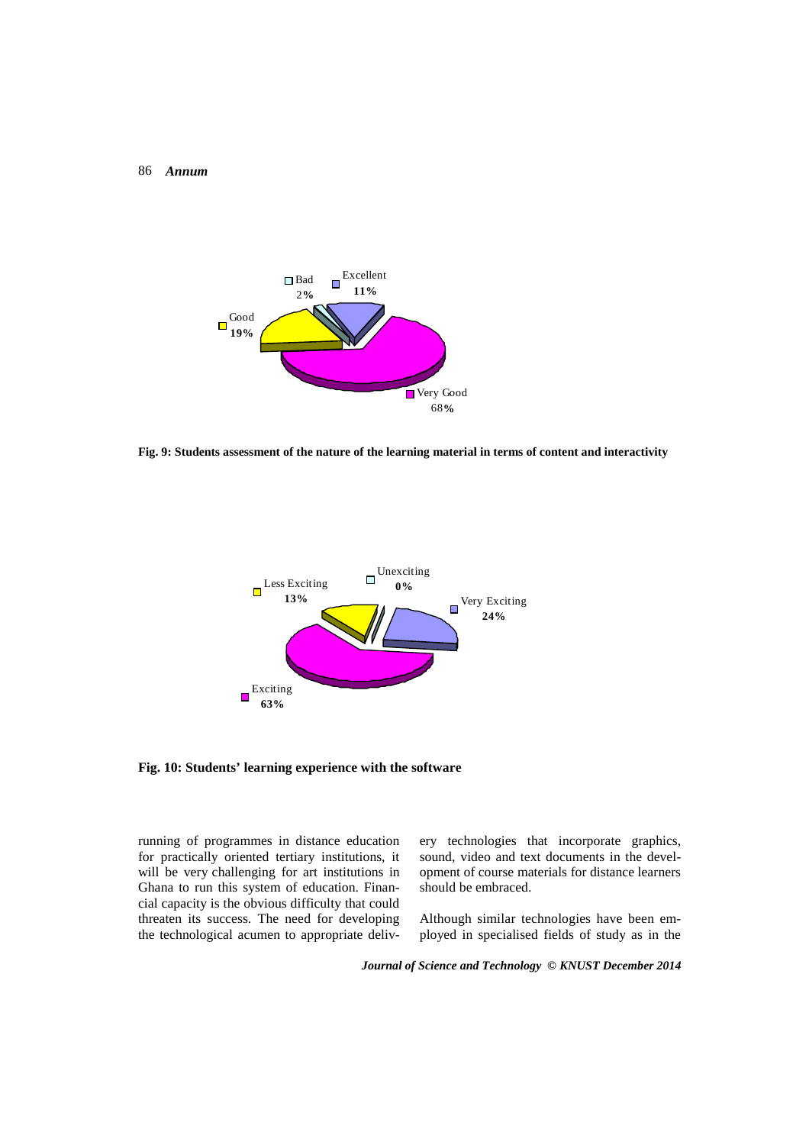

**Fig. 9: Students assessment of the nature of the learning material in terms of content and interactivity** 



**Fig. 10: Students' learning experience with the software** 

running of programmes in distance education for practically oriented tertiary institutions, it will be very challenging for art institutions in Ghana to run this system of education. Financial capacity is the obvious difficulty that could threaten its success. The need for developing the technological acumen to appropriate delivery technologies that incorporate graphics, sound, video and text documents in the development of course materials for distance learners should be embraced.

Although similar technologies have been employed in specialised fields of study as in the